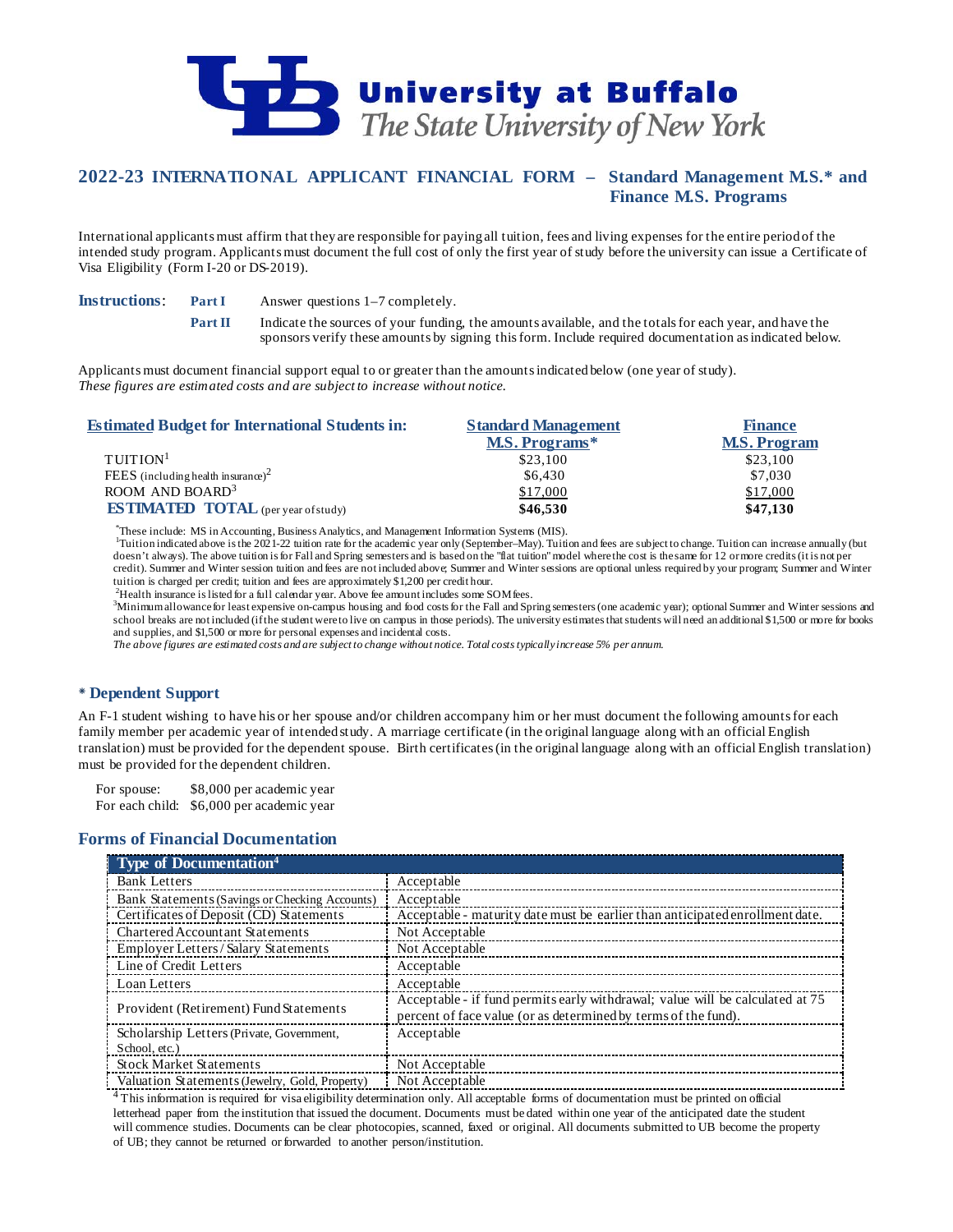

# **2022-23 INTERNATIONAL APPLICANT FINANCIAL FORM – Standard Management M.S.\* and Finance M.S. Programs**

International applicants must affirm that they are responsible for paying all tuition, fees and living expenses for the entire period of the intended study program. Applicants must document the full cost of only the first year of study before the university can issue a Certificate of Visa Eligibility (Form I-20 or DS-2019).

**Instructions: Part I** Answer questions 1–7 completely.

**Part II** Indicate the sources of your funding, the amounts available, and the totals for each year, and have the sponsors verify these amounts by signing this form. Include required documentation as indicated below.

Applicants must document financial support equal to or greater than the amounts indicated below (one year of study). *These figures are estimated costs and are subject to increase without notice.*

| <b>Standard Management</b> | <b>Finance</b>      |  |
|----------------------------|---------------------|--|
| M.S. Programs*             | <b>M.S. Program</b> |  |
| \$23,100                   | \$23,100            |  |
| \$6.430                    | \$7,030             |  |
| \$17,000                   | \$17,000            |  |
| \$46,530                   | \$47,130            |  |
|                            |                     |  |

<sup>\*</sup>These include: MS in Accounting, Business Analytics, and Management Information Systems (MIS).<br><sup>1</sup>Tuitian indicated show is the 2001.22 mition rate for the ecodemic year only (September, May). Tuiti

<sup>1</sup>Tuition indicated above is the 2021-22 tuition rate for the academic year only (September–May). Tuition and fees are subject to change. Tuition can increase annually (but doesn't always). The above tuition is for Fall and Spring semesters and is based on the "flat tuition" model where the cost is the same for 12 or more credits (it is not per credit). Summer and Winter session tuition and fees are not included above; Summer and Winter sessions are optional unless required by your program; Summer and Winter tuition is charged per credit; tuition and fees are approximately \$1,200 per credit hour.

<sup>2</sup>Health insurance is listed for a full calendar year. Above fee amount includes some SOM fees.<br><sup>3</sup>Minimum allowance for losst expansive on compus bousing and food costs for the Fall and Sp

Minimum allowance for least expensive on-campus housing and food costs for the Fall and Spring semesters (one academic year); optional Summer and Winter sessions and school breaks are not included (if the student were to live on campus in those periods). The university estimates that students will need an additional \$1,500 or more for books and supplies, and \$1,500 or more for personal expenses and incidental costs.

*The above figures are estimated costs and are subject to change without notice. Total costs typically increase 5% per annum.*

## **Dependent Support**

An F-1 student wishing to have his or her spouse and/or children accompany him or her must document the following amounts for each family member per academic year of intended study. A marriage certificate (in the original language along with an official English translation) must be provided for the dependent spouse. Birth certificates (in the original language along with an official English translation) must be provided for the dependent children.

For spouse: \$8,000 per academic year For each child: \$6,000 per academic year

## **Forms of Financial Documentation**

| <b>Type of Documentation</b> <sup>4</sup>      |                                                                                                                                                 |
|------------------------------------------------|-------------------------------------------------------------------------------------------------------------------------------------------------|
| <b>Bank Letters</b>                            | Acceptable                                                                                                                                      |
| Bank Statements (Savings or Checking Accounts) | Acceptable                                                                                                                                      |
| Certificates of Deposit (CD) Statements        | Acceptable - maturity date must be earlier than anticipated enrollment date.                                                                    |
| <b>Chartered Accountant Statements</b>         | Not Acceptable                                                                                                                                  |
| <b>Employer Letters/Salary Statements</b>      | Not Acceptable                                                                                                                                  |
| Line of Credit Letters                         | Acceptable                                                                                                                                      |
| Loan Letters                                   | Acceptable                                                                                                                                      |
| Provident (Retirement) Fund Statements         | Acceptable - if fund permits early withdrawal; value will be calculated at 75<br>percent of face value (or as determined by terms of the fund). |
| Scholarship Letters (Private, Government,      | Acceptable                                                                                                                                      |
| School, etc.)                                  |                                                                                                                                                 |
| <b>Stock Market Statements</b>                 | Not Acceptable                                                                                                                                  |
| Valuation Statements (Jewelry, Gold, Property) | Not Acceptable                                                                                                                                  |

4 This information is required for visa eligibility determination only. All acceptable forms of documentation must be printed on official<br><sup>4</sup> This information is required for visa eligibility determination only. All accept letterhead paper from the institution that issued the document. Documents must be dated within one year of the anticipated date the student will commence studies. Documents can be clear photocopies, scanned, faxed or original. All documents submitted to UB become the property of UB; they cannot be returned or forwarded to another person/institution.